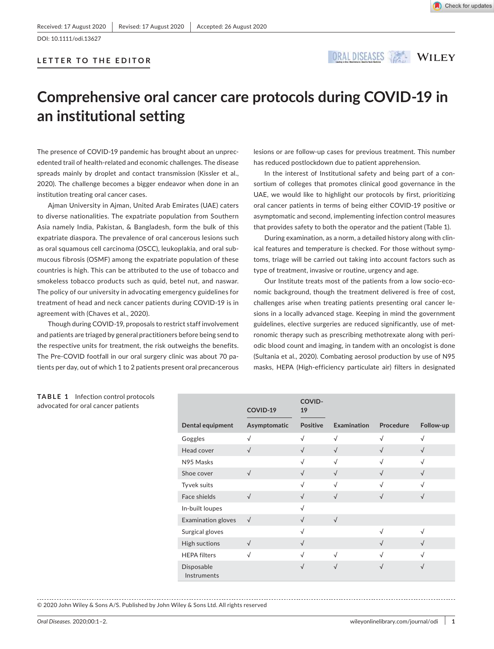DOI: 10.1111/odi.13627

# **LETTER TO THE EDITOR**

ORALDISEASES A WILEY

# **Comprehensive oral cancer care protocols during COVID-19 in an institutional setting**

The presence of COVID-19 pandemic has brought about an unprecedented trail of health-related and economic challenges. The disease spreads mainly by droplet and contact transmission (Kissler et al., 2020). The challenge becomes a bigger endeavor when done in an institution treating oral cancer cases.

Ajman University in Ajman, United Arab Emirates (UAE) caters to diverse nationalities. The expatriate population from Southern Asia namely India, Pakistan, & Bangladesh, form the bulk of this expatriate diaspora. The prevalence of oral cancerous lesions such as oral squamous cell carcinoma (OSCC), leukoplakia, and oral submucous fibrosis (OSMF) among the expatriate population of these countries is high. This can be attributed to the use of tobacco and smokeless tobacco products such as quid, betel nut, and naswar. The policy of our university in advocating emergency guidelines for treatment of head and neck cancer patients during COVID-19 is in agreement with (Chaves et al., 2020).

Though during COVID-19, proposals to restrict staff involvement and patients are triaged by general practitioners before being send to the respective units for treatment, the risk outweighs the benefits. The Pre-COVID footfall in our oral surgery clinic was about 70 patients per day, out of which 1 to 2 patients present oral precancerous

**TABLE 1** Infection control protocols advocated for oral cancer patients

lesions or are follow-up cases for previous treatment. This number has reduced postlockdown due to patient apprehension.

In the interest of Institutional safety and being part of a consortium of colleges that promotes clinical good governance in the UAE, we would like to highlight our protocols by first, prioritizing oral cancer patients in terms of being either COVID-19 positive or asymptomatic and second, implementing infection control measures that provides safety to both the operator and the patient (Table 1).

During examination, as a norm, a detailed history along with clinical features and temperature is checked. For those without symptoms, triage will be carried out taking into account factors such as type of treatment, invasive or routine, urgency and age.

Our Institute treats most of the patients from a low socio-economic background, though the treatment delivered is free of cost, challenges arise when treating patients presenting oral cancer lesions in a locally advanced stage. Keeping in mind the government guidelines, elective surgeries are reduced significantly, use of metronomic therapy such as prescribing methotrexate along with periodic blood count and imaging, in tandem with an oncologist is done (Sultania et al., 2020). Combating aerosol production by use of N95 masks, HEPA (High-efficiency particulate air) filters in designated

|                           | COVID-19     | COVID-<br>19    |             |            |            |
|---------------------------|--------------|-----------------|-------------|------------|------------|
| Dental equipment          | Asymptomatic | <b>Positive</b> | Examination | Procedure  | Follow-up  |
| Goggles                   | $\sqrt{}$    | $\sqrt{}$       | $\sqrt{ }$  | $\sqrt{ }$ | √          |
| Head cover                | $\sqrt{ }$   | $\sqrt{}$       | $\sqrt{ }$  | $\sqrt{ }$ | $\sqrt{ }$ |
| N95 Masks                 |              | $\sqrt{}$       | $\sqrt{ }$  | √          | $\sqrt{ }$ |
| Shoe cover                | $\sqrt{ }$   | $\sqrt{}$       | $\sqrt{ }$  | √          | √          |
| Tyvek suits               |              | √               | $\sqrt{ }$  |            |            |
| Face shields              | $\sqrt{ }$   | $\sqrt{ }$      | $\sqrt{ }$  | $\sqrt{ }$ | $\sqrt{ }$ |
| In-built loupes           |              | $\sqrt{}$       |             |            |            |
| <b>Examination gloves</b> | $\sqrt{ }$   | $\sqrt{}$       | $\sqrt{ }$  |            |            |
| Surgical gloves           |              | $\sqrt{}$       |             | $\sqrt{2}$ | $\sqrt{}$  |
| High suctions             | $\sqrt{ }$   | $\sqrt{}$       |             | $\sqrt{ }$ | $\sqrt{}$  |
| <b>HEPA filters</b>       | √            | $\sqrt{}$       | $\sqrt{ }$  |            | √          |
| Disposable<br>Instruments |              | $\sqrt{}$       | $\sqrt{}$   |            | $\sqrt{}$  |

© 2020 John Wiley & Sons A/S. Published by John Wiley & Sons Ltd. All rights reserved